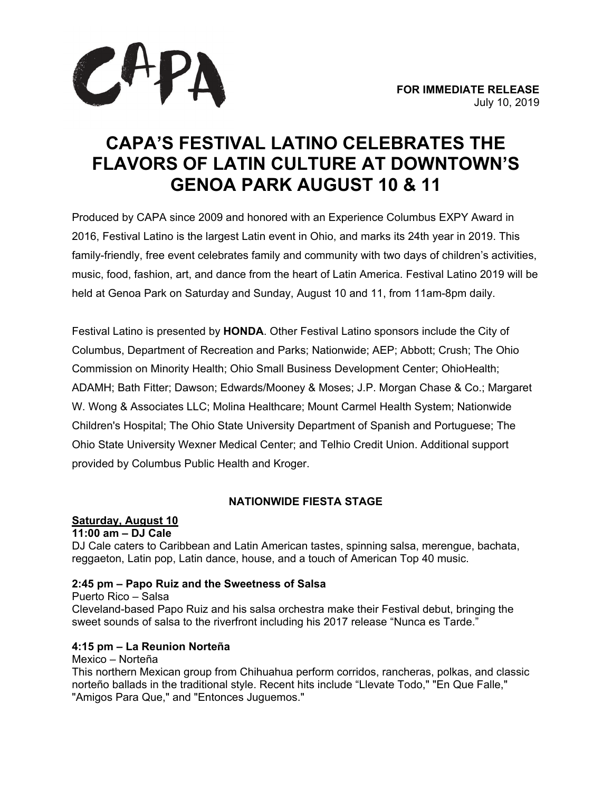

# **CAPA'S FESTIVAL LATINO CELEBRATES THE FLAVORS OF LATIN CULTURE AT DOWNTOWN'S GENOA PARK AUGUST 10 & 11**

Produced by CAPA since 2009 and honored with an Experience Columbus EXPY Award in 2016, Festival Latino is the largest Latin event in Ohio, and marks its 24th year in 2019. This family-friendly, free event celebrates family and community with two days of children's activities, music, food, fashion, art, and dance from the heart of Latin America. Festival Latino 2019 will be held at Genoa Park on Saturday and Sunday, August 10 and 11, from 11am-8pm daily.

Festival Latino is presented by **HONDA**. Other Festival Latino sponsors include the City of Columbus, Department of Recreation and Parks; Nationwide; AEP; Abbott; Crush; The Ohio Commission on Minority Health; Ohio Small Business Development Center; OhioHealth; ADAMH; Bath Fitter; Dawson; Edwards/Mooney & Moses; J.P. Morgan Chase & Co.; Margaret W. Wong & Associates LLC; Molina Healthcare; Mount Carmel Health System; Nationwide Children's Hospital; The Ohio State University Department of Spanish and Portuguese; The Ohio State University Wexner Medical Center; and Telhio Credit Union. Additional support provided by Columbus Public Health and Kroger.

# **NATIONWIDE FIESTA STAGE**

## **Saturday, August 10**

**11:00 am – DJ Cale**

DJ Cale caters to Caribbean and Latin American tastes, spinning salsa, merengue, bachata, reggaeton, Latin pop, Latin dance, house, and a touch of American Top 40 music.

## **2:45 pm – Papo Ruiz and the Sweetness of Salsa**

Puerto Rico – Salsa Cleveland-based Papo Ruiz and his salsa orchestra make their Festival debut, bringing the sweet sounds of salsa to the riverfront including his 2017 release "Nunca es Tarde."

## **4:15 pm – La Reunion Norteña**

Mexico – Norteña

This northern Mexican group from Chihuahua perform corridos, rancheras, polkas, and classic norteño ballads in the traditional style. Recent hits include "Llevate Todo," "En Que Falle," "Amigos Para Que," and "Entonces Juguemos."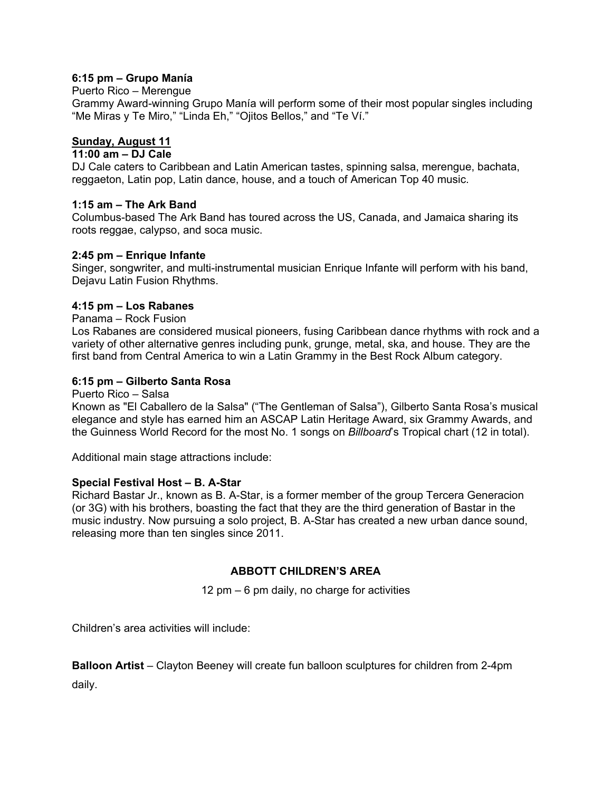#### **6:15 pm – Grupo Manía**

#### Puerto Rico – Merengue

Grammy Award-winning Grupo Manía will perform some of their most popular singles including "Me Miras y Te Miro," "Linda Eh," "Ojitos Bellos," and "Te Ví."

#### **Sunday, August 11**

#### **11:00 am – DJ Cale**

DJ Cale caters to Caribbean and Latin American tastes, spinning salsa, merengue, bachata, reggaeton, Latin pop, Latin dance, house, and a touch of American Top 40 music.

#### **1:15 am – The Ark Band**

Columbus-based The Ark Band has toured across the US, Canada, and Jamaica sharing its roots reggae, calypso, and soca music.

#### **2:45 pm – Enrique Infante**

Singer, songwriter, and multi-instrumental musician Enrique Infante will perform with his band, Dejavu Latin Fusion Rhythms.

#### **4:15 pm – Los Rabanes**

Panama – Rock Fusion

Los Rabanes are considered musical pioneers, fusing Caribbean dance rhythms with rock and a variety of other alternative genres including punk, grunge, metal, ska, and house. They are the first band from Central America to win a Latin Grammy in the Best Rock Album category.

## **6:15 pm – Gilberto Santa Rosa**

Puerto Rico – Salsa

Known as "El Caballero de la Salsa" ("The Gentleman of Salsa"), Gilberto Santa Rosa's musical elegance and style has earned him an ASCAP Latin Heritage Award, six Grammy Awards, and the Guinness World Record for the most No. 1 songs on *Billboard*'s Tropical chart (12 in total).

Additional main stage attractions include:

## **Special Festival Host – B. A-Star**

Richard Bastar Jr., known as B. A-Star, is a former member of the group Tercera Generacion (or 3G) with his brothers, boasting the fact that they are the third generation of Bastar in the music industry. Now pursuing a solo project, B. A-Star has created a new urban dance sound, releasing more than ten singles since 2011.

# **ABBOTT CHILDREN'S AREA**

12 pm – 6 pm daily, no charge for activities

Children's area activities will include:

**Balloon Artist** – Clayton Beeney will create fun balloon sculptures for children from 2-4pm daily.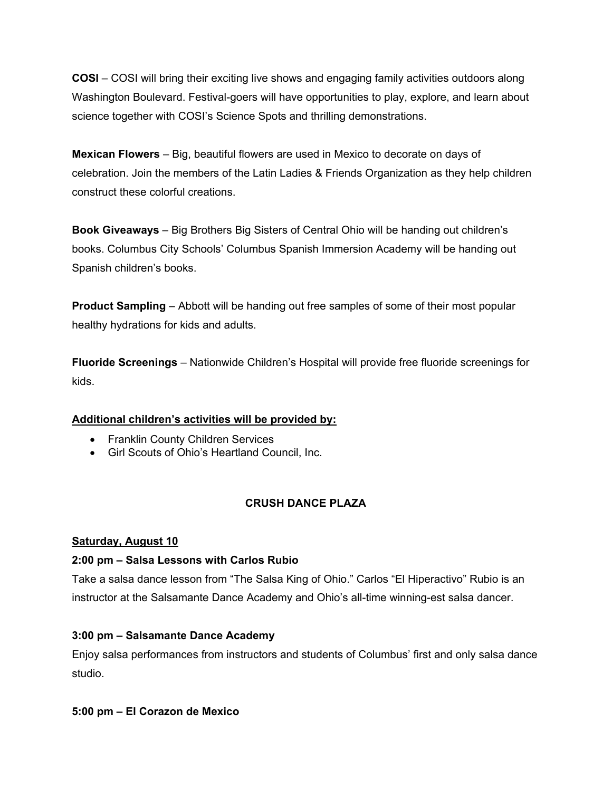**COSI** – COSI will bring their exciting live shows and engaging family activities outdoors along Washington Boulevard. Festival-goers will have opportunities to play, explore, and learn about science together with COSI's Science Spots and thrilling demonstrations.

**Mexican Flowers** – Big, beautiful flowers are used in Mexico to decorate on days of celebration. Join the members of the Latin Ladies & Friends Organization as they help children construct these colorful creations.

**Book Giveaways** – Big Brothers Big Sisters of Central Ohio will be handing out children's books. Columbus City Schools' Columbus Spanish Immersion Academy will be handing out Spanish children's books.

**Product Sampling** – Abbott will be handing out free samples of some of their most popular healthy hydrations for kids and adults.

**Fluoride Screenings** – Nationwide Children's Hospital will provide free fluoride screenings for kids.

## **Additional children's activities will be provided by:**

- Franklin County Children Services
- Girl Scouts of Ohio's Heartland Council, Inc.

# **CRUSH DANCE PLAZA**

## **Saturday, August 10**

## **2:00 pm – Salsa Lessons with Carlos Rubio**

Take a salsa dance lesson from "The Salsa King of Ohio." Carlos "El Hiperactivo" Rubio is an instructor at the Salsamante Dance Academy and Ohio's all-time winning-est salsa dancer.

## **3:00 pm – Salsamante Dance Academy**

Enjoy salsa performances from instructors and students of Columbus' first and only salsa dance studio.

## **5:00 pm – El Corazon de Mexico**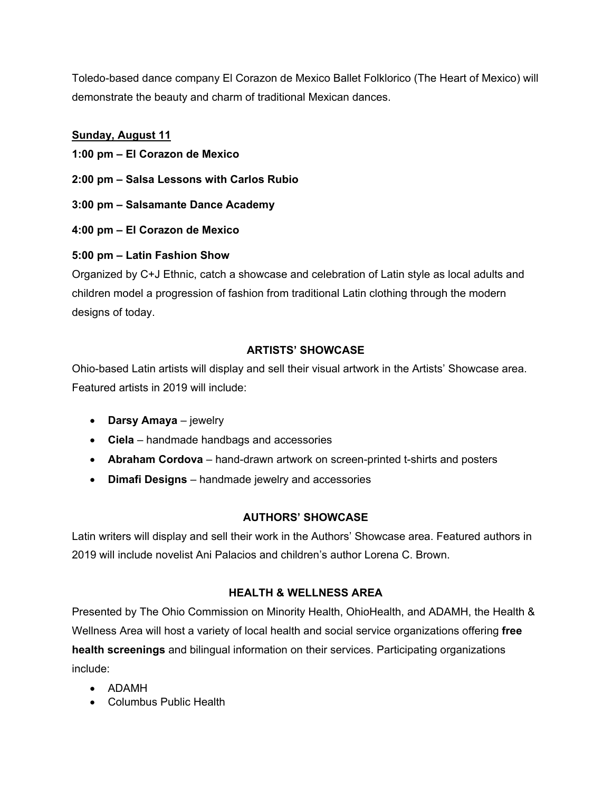Toledo-based dance company El Corazon de Mexico Ballet Folklorico (The Heart of Mexico) will demonstrate the beauty and charm of traditional Mexican dances.

# **Sunday, August 11**

- **1:00 pm El Corazon de Mexico**
- **2:00 pm Salsa Lessons with Carlos Rubio**
- **3:00 pm Salsamante Dance Academy**
- **4:00 pm El Corazon de Mexico**

# **5:00 pm – Latin Fashion Show**

Organized by C+J Ethnic, catch a showcase and celebration of Latin style as local adults and children model a progression of fashion from traditional Latin clothing through the modern designs of today.

# **ARTISTS' SHOWCASE**

Ohio-based Latin artists will display and sell their visual artwork in the Artists' Showcase area. Featured artists in 2019 will include:

- **Darsy Amaya** jewelry
- **Ciela** handmade handbags and accessories
- **Abraham Cordova** hand-drawn artwork on screen-printed t-shirts and posters
- **Dimafi Designs** handmade jewelry and accessories

## **AUTHORS' SHOWCASE**

Latin writers will display and sell their work in the Authors' Showcase area. Featured authors in 2019 will include novelist Ani Palacios and children's author Lorena C. Brown.

## **HEALTH & WELLNESS AREA**

Presented by The Ohio Commission on Minority Health, OhioHealth, and ADAMH, the Health & Wellness Area will host a variety of local health and social service organizations offering **free health screenings** and bilingual information on their services. Participating organizations include:

- ADAMH
- Columbus Public Health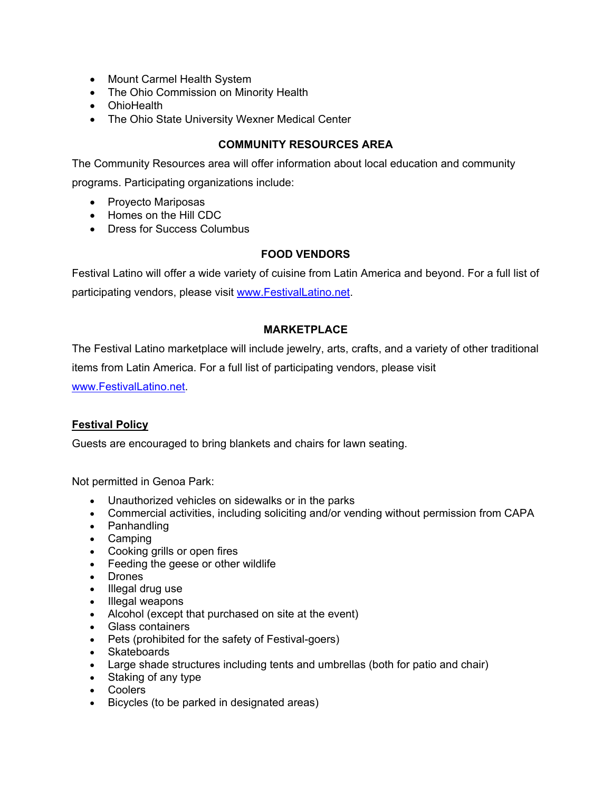- Mount Carmel Health System
- The Ohio Commission on Minority Health
- OhioHealth
- The Ohio State University Wexner Medical Center

## **COMMUNITY RESOURCES AREA**

The Community Resources area will offer information about local education and community

programs. Participating organizations include:

- Proyecto Mariposas
- Homes on the Hill CDC
- Dress for Success Columbus

# **FOOD VENDORS**

Festival Latino will offer a wide variety of cuisine from Latin America and beyond. For a full list of participating vendors, please visit [www.FestivalLatino.net.](http://www.festivallatino.net/)

# **MARKETPLACE**

The Festival Latino marketplace will include jewelry, arts, crafts, and a variety of other traditional items from Latin America. For a full list of participating vendors, please visit [www.FestivalLatino.net.](http://www.festivallatino.net/)

## **Festival Policy**

Guests are encouraged to bring blankets and chairs for lawn seating.

Not permitted in Genoa Park:

- Unauthorized vehicles on sidewalks or in the parks
- Commercial activities, including soliciting and/or vending without permission from CAPA
- Panhandling
- Camping
- Cooking grills or open fires
- Feeding the geese or other wildlife
- Drones
- Illegal drug use
- Illegal weapons
- Alcohol (except that purchased on site at the event)
- Glass containers
- Pets (prohibited for the safety of Festival-goers)
- Skateboards
- Large shade structures including tents and umbrellas (both for patio and chair)
- Staking of any type
- Coolers
- Bicycles (to be parked in designated areas)